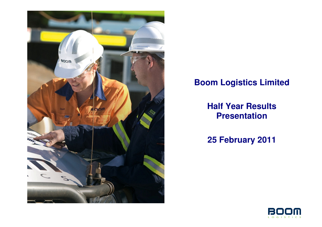

## **Boom Logistics Limited**

## **Half Year Results Presentation**

**25 February 2011** 

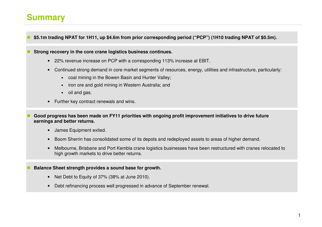### **Summary**

**\$5.1m trading NPAT for 1H11, up \$4.6m from prior corresponding period ("PCP") (1H10 trading NPAT of \$0.5m).** 

**Strong recovery in the core crane logistics business continues.** 

- 22% revenue increase on PCP with a corresponding 113% increase at EBIT.
- Continued strong demand in core market segments of resources, energy, utilities and infrastructure, particularly:
	- coal mining in the Bowen Basin and Hunter Valley;
	- •iron ore and gold mining in Western Australia; and
	- oil and gas.
- Further key contract renewals and wins.
- **Good progress has been made on FY11 priorities with ongoing profit improvement initiatives to drive future earnings and better returns.** 
	- James Equipment exited.
	- Boom Sherrin has consolidated some of its depots and redeployed assets to areas of higher demand.
	- Melbourne, Brisbane and Port Kembla crane logistics businesses have been restructured with cranes relocated to high growth markets to drive better returns.

#### **Balance Sheet strength provides a sound base for growth.**

- Net Debt to Equity of 37% (38% at June 2010).
- Debt refinancing process well progressed in advance of September renewal.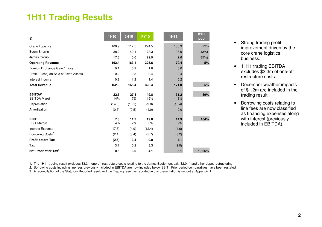### **1H11 Trading Results**

| \$m\$                                                                 | <b>1H10</b>                    | 2H10                           | <b>FY10</b>                    | <b>1H11</b>                  | <b>1H11</b><br>pcp |
|-----------------------------------------------------------------------|--------------------------------|--------------------------------|--------------------------------|------------------------------|--------------------|
| <b>Crane Logistics</b>                                                | 106.9                          | 117.5                          | 224.5                          | 130.9                        | 22%                |
| <b>Boom Sherrin</b>                                                   | 38.2                           | 40.1                           | 78.3                           | 36.9                         | (3%)               |
| James Group                                                           | 17.3                           | 5.6                            | 22.9                           | 2.6                          | (85%)              |
| <b>Operating Revenue</b>                                              | 162.4                          | 163.1                          | 325.6                          | 170.4                        | 5%                 |
| Foreign Exchange Gain / (Loss)                                        | 0.1                            | 0.9                            | 1.0                            | 0.0                          |                    |
| Profit / (Loss) on Sale of Fixed Assets                               | 0.2                            | 0.3                            | 0.4                            | 0.4                          |                    |
| Interest Income                                                       | 0.2                            | 1.2                            | 1.4                            | 0.2                          |                    |
| <b>Total Revenue</b>                                                  | 162.9                          | 165.4                          | 328.4                          | 171.0                        | 5%                 |
| <b>EBITDA</b><br><b>EBITDA Margin</b><br>Depreciation<br>Amortisation | 22.5<br>14%<br>(14.6)<br>(0.5) | 27.3<br>17%<br>(15.1)<br>(0.5) | 49.8<br>15%<br>(29.8)<br>(1.0) | 31.2<br>18%<br>(16.4)<br>0.0 | 39%                |
| <b>EBIT</b><br><b>EBIT Margin</b>                                     | 7.3<br>4%                      | 11.7<br>7%                     | 19.0<br>6%                     | 14.9<br>9%                   | 104%               |
| Interest Expense                                                      | (7.5)                          | (4.9)                          | (12.4)                         | (4.6)                        |                    |
| Borrowing Costs <sup>2</sup>                                          | (2.4)                          | (3.4)                          | (5.7)                          | (3.2)                        |                    |
| <b>Profit before Tax</b>                                              | (2.6)                          | 3.4                            | 0.8                            | 7.1                          |                    |
| Tax                                                                   | 3.1                            | 0.2                            | 3.3                            | (2.0)                        |                    |
| Net Profit after Tax <sup>3</sup>                                     | 0.5                            | 3.6                            | 4.1                            | 5.1                          | 1,006%             |

- Strong trading profit improvement driven by the core crane logistics business.
- 1H11 trading EBITDA excludes \$3.3m of one-off restructure costs.
- December weather impacts of \$1.2m are included in the trading result.
- Borrowing costs relating to line fees are now classified as financing expenses along with interest (previously included in EBITDA).

1. The 1H11 trading result excludes \$3.3m one-off restructure costs relating to the James Equipment exit (\$2.0m) and other depot restructuring.

2. Borrowing costs including line fees previously included in EBITDA are now included below EBIT. Prior period comparatives have been restated.

3. A reconcilaition of the Statutory Reported result and the Trading result as reported in this presentation is set out at Appendix 1.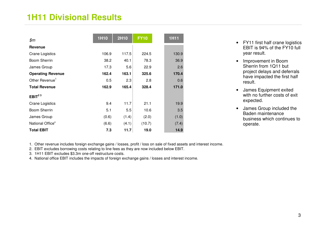### **1H11 Divisional Results**

| \$m\$                        | <b>1H10</b> | <b>2H10</b> | <b>FY10</b> | <b>1H11</b> |
|------------------------------|-------------|-------------|-------------|-------------|
| <b>Revenue</b>               |             |             |             |             |
| <b>Crane Logistics</b>       | 106.9       | 117.5       | 224.5       | 130.9       |
| Boom Sherrin                 | 38.2        | 40.1        | 78.3        | 36.9        |
| James Group                  | 17.3        | 5.6         | 22.9        | 2.6         |
| <b>Operating Revenue</b>     | 162.4       | 163.1       | 325.6       | 170.4       |
| Other Revenue <sup>1</sup>   | 0.5         | 2.3         | 2.8         | 0.6         |
| <b>Total Revenue</b>         | 162.9       | 165.4       | 328.4       | 171.0       |
| EBIT $23$                    |             |             |             |             |
| <b>Crane Logistics</b>       | 9.4         | 11.7        | 21.1        | 19.9        |
| <b>Boom Sherrin</b>          | 5.1         | 5.5         | 10.6        | 3.5         |
| James Group                  | (0.6)       | (1.4)       | (2.0)       | (1.0)       |
| National Office <sup>4</sup> | (6.6)       | (4.1)       | (10.7)      | (7.4)       |
| <b>Total EBIT</b>            | 7.3         | 11.7        | 19.0        | 14.9        |

- **•** FY11 first half crane logistics EBIT is 94% of the FY10 full year result.
- Improvement in Boom Sherrin from 1Q11 but project delays and deferrals have impacted the first half result.
- James Equipment exited with no further costs of exit expected.
- James Group included the Baden maintenance business which continues to operate.

1. Other revenue includes foreign exchange gains / losses, profit / loss on sale of fixed assets and interest income.

2. EBIT excludes borrowing costs relating to line fees as they are now included below EBIT.

3. 1H11 EBIT excludes \$3.3m one-off restructure costs.

4. National office EBIT includes the impacts of foreign exchange gains / losses and interest income.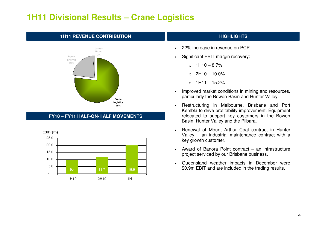### **1H11 Divisional Results – Crane Logistics**

#### **1H11 REVENUE CONTRIBUTION AND REVENUE CONTRIBUTION**



### **FY10 – FY11 HALF-ON-HALF MOVEMENTS**



- •22% increase in revenue on PCP.
- • Significant EBIT margin recovery:
	- $\circ$  1H10 8.7%
	- $O$  2H10 10.0%
	- $\circ$  1H11 15.2%
- • Improved market conditions in mining and resources, particularly the Bowen Basin and Hunter Valley.
- • Restructuring in Melbourne, Brisbane and Port Kembla to drive profitability improvement. Equipment relocated to support key customers in the Bowen Basin, Hunter Valley and the Pilbara.
- • Renewal of Mount Arthur Coal contract in Hunter Valley – an industrial maintenance contract with a key growth customer.
- Award of Banora Point contract an infrastructure project serviced by our Brisbane business.
- Queensland weather impacts in December were \$0.9m EBIT and are included in the trading results.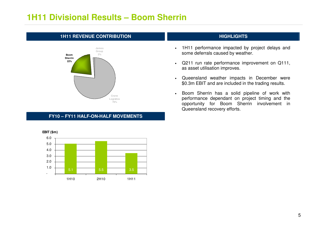### **1H11 Divisional Results – Boom Sherrin**

# **1H11 REVENUE CONTRIBUTION AND REVENUE CONTRIBUTION**



### **FY10 – FY11 HALF-ON-HALF MOVEMENTS**



- 1H11 performance impacted by project delays and some deferrals caused by weather.
- Q211 run rate performance improvement on Q111, as asset utilisation improves.
- Queensland weather impacts in December were \$0.3m EBIT and are included in the trading results.
- • Boom Sherrin has a solid pipeline of work with performance dependant on project timing and the opportunity for Boom Sherrin involvement in Queensland recovery efforts.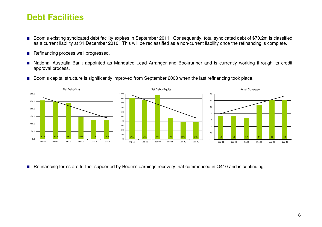### **Debt Facilities**

- ■ Boom's existing syndicated debt facility expires in September 2011. Consequently, total syndicated debt of \$70.2m is classified as a current liability at 31 December 2010. This will be reclassified as a non-current liability once the refinancing is complete.
- Refinancing process well progressed.
- ■ National Australia Bank appointed as Mandated Lead Arranger and Bookrunner and is currently working through its credit approval process.
- Boom's capital structure is significantly improved from September 2008 when the last refinancing took place.



■ Refinancing terms are further supported by Boom's earnings recovery that commenced in Q410 and is continuing.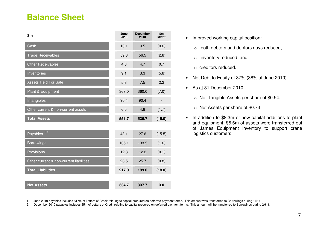### **Balance Sheet**

| \$m                                     | June<br>2010 | <b>December</b><br>2010 | \$m\$<br><b>M</b> vmt |
|-----------------------------------------|--------------|-------------------------|-----------------------|
| Cash                                    | 10.1         | 9.5                     | (0.6)                 |
| <b>Trade Receivables</b>                | 59.3         | 56.5                    | (2.8)                 |
| <b>Other Receivables</b>                | 4.0          | 4.7                     | 0.7                   |
| Inventories                             | 9.1          | 3.3                     | (5.8)                 |
| <b>Assets Held For Sale</b>             | 5.3          | 7.5                     | 2.2                   |
| Plant & Equipment                       | 367.0        | 360.0                   | (7.0)                 |
| Intangibles                             | 90.4         | 90.4                    |                       |
| Other current & non-current assets      | 6.5          | 4.8                     | (1.7)                 |
| <b>Total Assets</b>                     | 551.7        | 536.7                   | (15.0)                |
|                                         |              |                         |                       |
| 12<br>Payables                          | 43.1         | 27.6                    | (15.5)                |
| <b>Borrowings</b>                       | 135.1        | 133.5                   | (1.6)                 |
| Provisions                              | 12.3         | 12.2                    | (0.1)                 |
| Other current & non-current liabilities | 26.5         | 25.7                    | (0.8)                 |
| <b>Total Liabilities</b>                | 217.0        | 199.0                   | (18.0)                |
|                                         |              |                         |                       |
| <b>Net Assets</b>                       | 334.7        | 337.7                   | 3.0                   |

- Improved working capital position:
	- o both debtors and debtors days reduced;
	- o inventory reduced; and
	- o creditors reduced.
- Net Debt to Equity of 37% (38% at June 2010).
- As at 31 December 2010:
	- o Net Tangible Assets per share of \$0.54.
	- o Net Assets per share of \$0.73
- In addition to \$8.3m of new capital additions to plant and equipment, \$5.6m of assets were transferred out of James Equipment inventory to support crane logistics customers.

1. June 2010 payables includes \$17m of Letters of Credit relating to capital procured on deferred payment terms. This amount was transferred to Borrowings during 1H11.<br>2. December 2010 payables includes \$5m of Letters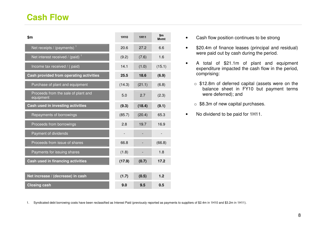### **Cash Flow**

| \$m                                              | 1H <sub>10</sub> | <b>1H11</b> | $\mathbf{m}$<br><b>M</b> vmt |
|--------------------------------------------------|------------------|-------------|------------------------------|
| Net receipts / $(payments)$ <sup>1</sup>         | 20.6             | 27.2        | 6.6                          |
| Net interest received / (paid) $^1$              | (9.2)            | (7.6)       | 1.6                          |
| Income tax received / (paid)                     | 14.1             | (1.0)       | (15.1)                       |
| Cash provided from operating activities          | 25.5             | 18.6        | (6.9)                        |
| Purchase of plant and equipment                  | (14.3)           | (21.1)      | (6.8)                        |
| Proceeds from the sale of plant and<br>equipment | 5.0              | 2.7         | (2.3)                        |
| Cash used in investing activities                | (9.3)            | (18.4)      | (9.1)                        |
| Repayments of borrowings                         | (85.7)           | (20.4)      | 65.3                         |
| Proceeds from borrowings                         | 2.8              | 19.7        | 16.9                         |
| Payment of dividends                             |                  |             |                              |
| Proceeds from issue of shares                    | 66.8             |             | (66.8)                       |
| Payments for issuing shares                      | (1.8)            |             | 1.8                          |
| Cash used in financing activities                | (17.9)           | (0.7)       | 17.2                         |
|                                                  |                  |             |                              |
| Net increase / (decrease) in cash                | (1.7)            | (0.5)       | 1.2                          |
| <b>Closing cash</b>                              | 9.0              | 9.5         | 0.5                          |

- Cash flow position continues to be strong
- \$20.4m of finance leases (principal and residual) were paid out by cash during the period.
- A total of \$21.1m of plant and equipment expenditure impacted the cash flow in the period, comprising:
	- o \$12.8m of deferred capital (assets were on the balance sheet in FY10 but payment terms were deferred); and
	- o \$8.3m of new capital purchases.
- No dividend to be paid for 1H11.

1. Syndicated debt borrowing costs have been reclassified as Interest Paid (previously reported as payments to suppliers of \$2.4m in 1H10 and \$3.2m in 1H11).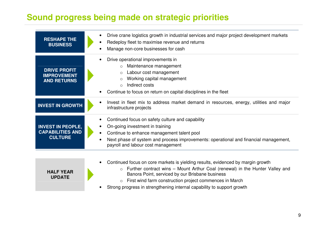### **Sound progress being made on strategic priorities**

**UPDATE** 

| <b>RESHAPE THE</b><br><b>BUSINESS</b>                                 | Drive crane logistics growth in industrial services and major project development markets<br>Redeploy fleet to maximise revenue and returns<br>Manage non-core businesses for cash                                                                                           |
|-----------------------------------------------------------------------|------------------------------------------------------------------------------------------------------------------------------------------------------------------------------------------------------------------------------------------------------------------------------|
| <b>DRIVE PROFIT</b><br><b>IMPROVEMENT</b><br><b>AND RETURNS</b>       | Drive operational improvements in<br>Maintenance management<br>$\circ$<br>Labour cost management<br>$\circ$<br>Working capital management<br>$\circ$<br>Indirect costs<br>$\Omega$<br>Continue to focus on return on capital disciplines in the fleet                        |
| <b>INVEST IN GROWTH</b>                                               | Invest in fleet mix to address market demand in resources, energy, utilities and major<br>infrastructure projects                                                                                                                                                            |
| <b>INVEST IN PEOPLE,</b><br><b>CAPABILITIES AND</b><br><b>CULTURE</b> | Continued focus on safety culture and capability<br>On-going investment in training<br>Continue to enhance management talent pool<br>$\bullet$<br>Next phase of system and process improvements: operational and financial management,<br>payroll and labour cost management |
| <b>HALF YEAR</b>                                                      | Continued focus on core markets is yielding results, evidenced by margin growth<br>Further contract wins – Mount Arthur Coal (renewal) in the Hunter Valley and<br>$\circ$<br>Banora Point, serviced by our Brisbane business                                                |

- o First wind farm construction project commences in March
- Strong progress in strengthening internal capability to support growth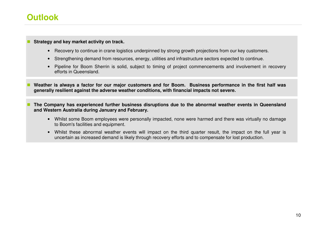### **Outlook**

#### **Strategy and key market activity on track.**

- Recovery to continue in crane logistics underpinned by strong growth projections from our key customers.
- Strengthening demand from resources, energy, utilities and infrastructure sectors expected to continue.
- Pipeline for Boom Sherrin is solid, subject to timing of project commencements and involvement in recovery efforts in Queensland.
- **Weather is always a factor for our major customers and for Boom. Business performance in the first half was generally resilient against the adverse weather conditions, with financial impacts not severe.**
- **The Company has experienced further business disruptions due to the abnormal weather events in Queensland and Western Australia during January and February.** 
	- Whilst some Boom employees were personally impacted, none were harmed and there was virtually no damage to Boom's facilities and equipment.
	- Whilst these abnormal weather events will impact on the third quarter result, the impact on the full year is uncertain as increased demand is likely through recovery efforts and to compensate for lost production.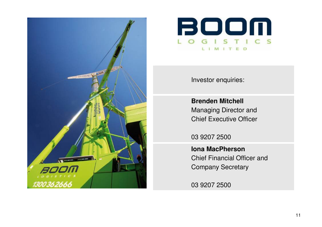



Investor enquiries:

**Brenden Mitchell** Managing Director and Chief Executive Officer

03 9207 2500

**Iona MacPherson** Chief Financial Officer and Company Secretary

03 9207 2500